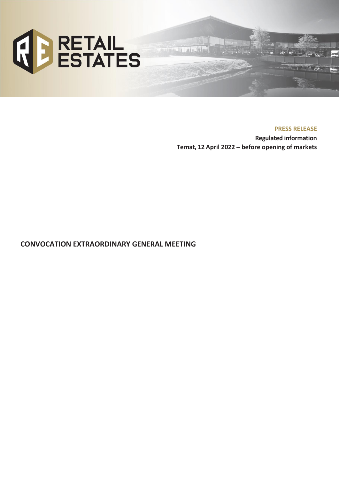

**PRESS RELEASE**

**Regulated information Ternat, 12 April 2022** – **before opening of markets**

inte 1974

**CONVOCATION EXTRAORDINARY GENERAL MEETING**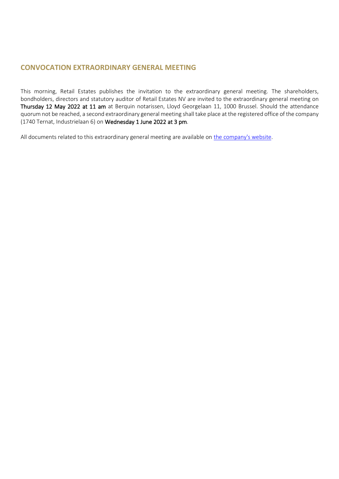## **CONVOCATION EXTRAORDINARY GENERAL MEETING**

This morning, Retail Estates publishes the invitation to the extraordinary general meeting. The shareholders, bondholders, directors and statutory auditor of Retail Estates NV are invited to the extraordinary general meeting on Thursday 12 May 2022 at 11 am at Berquin notarissen, Lloyd Georgelaan 11, 1000 Brussel. Should the attendance quorum not be reached, a second extraordinary general meeting shall take place at the registered office of the company (1740 Ternat, Industrielaan 6) on Wednesday 1 June 2022 at 3 pm.

All documents related to this extraordinary general meeting are available on [the company's website.](https://www.retailestates.com/en/investors/shareholders-agenda/extraordinary-general-meeting)